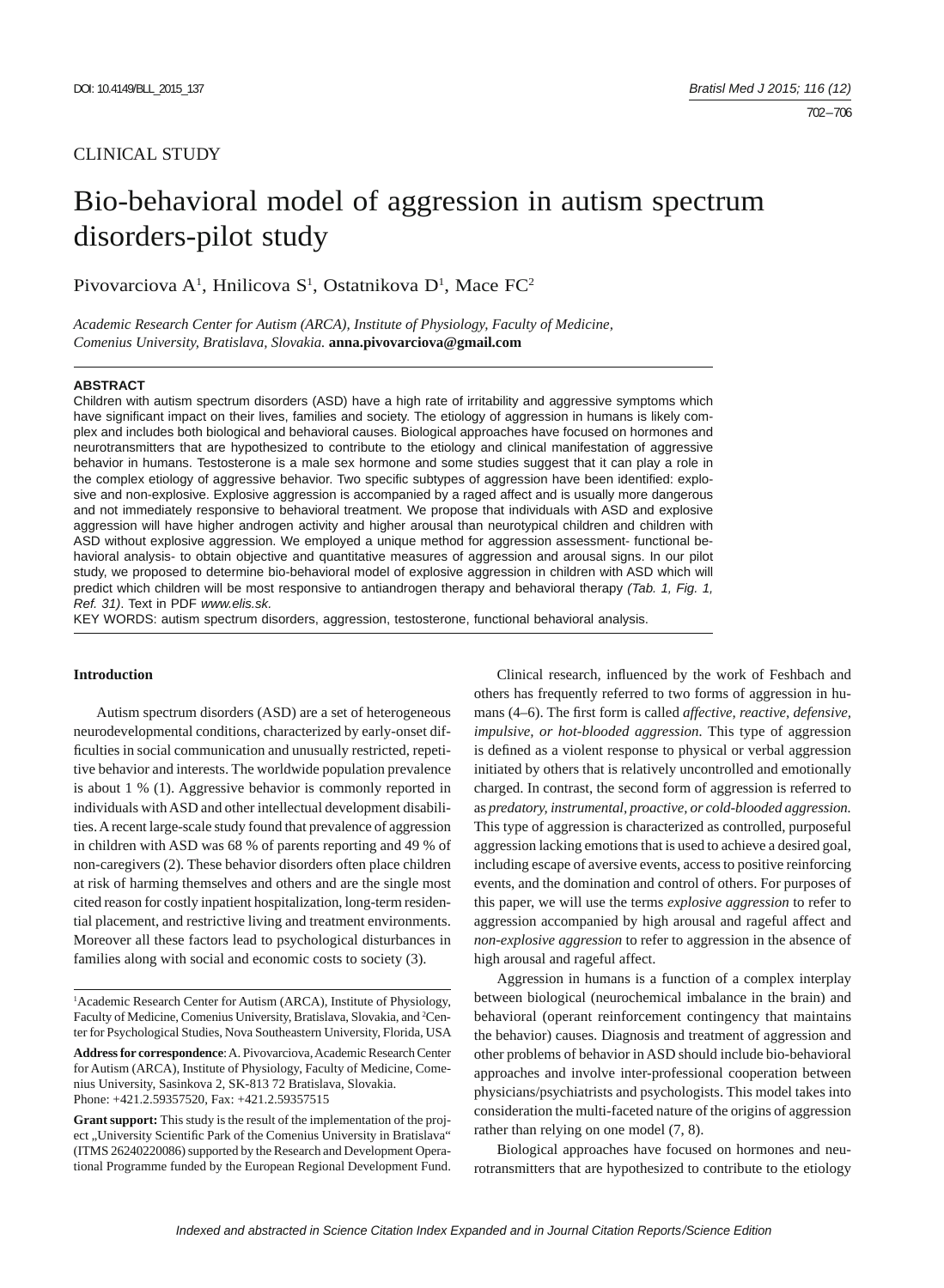## CLINICAL STUDY

# Bio-behavioral model of aggression in autism spectrum disorders-pilot study

Pivovarciova A<sup>1</sup>, Hnilicova S<sup>1</sup>, Ostatnikova D<sup>1</sup>, Mace FC<sup>2</sup>

*Academic Research Center for Autism (ARCA), Institute of Physiology, Faculty of Medicine, Comenius University, Bratislava, Slovakia.* **anna.pivovarciova@gmail.com**

#### **ABSTRACT**

Children with autism spectrum disorders (ASD) have a high rate of irritability and aggressive symptoms which have significant impact on their lives, families and society. The etiology of aggression in humans is likely complex and includes both biological and behavioral causes. Biological approaches have focused on hormones and neurotransmitters that are hypothesized to contribute to the etiology and clinical manifestation of aggressive behavior in humans. Testosterone is a male sex hormone and some studies suggest that it can play a role in the complex etiology of aggressive behavior. Two specific subtypes of aggression have been identified: explosive and non-explosive. Explosive aggression is accompanied by a raged affect and is usually more dangerous and not immediately responsive to behavioral treatment. We propose that individuals with ASD and explosive aggression will have higher androgen activity and higher arousal than neurotypical children and children with ASD without explosive aggression. We employed a unique method for aggression assessment- functional behavioral analysis- to obtain objective and quantitative measures of aggression and arousal signs. In our pilot study, we proposed to determine bio-behavioral model of explosive aggression in children with ASD which will predict which children will be most responsive to antiandrogen therapy and behavioral therapy *(Tab. 1, Fig. 1, Ref. 31)*. Text in PDF *www.elis.sk.*

KEY WORDS: autism spectrum disorders, aggression, testosterone, functional behavioral analysis.

## **Introduction**

Autism spectrum disorders (ASD) are a set of heterogeneous neurodevelopmental conditions, characterized by early-onset difficulties in social communication and unusually restricted, repetitive behavior and interests. The worldwide population prevalence is about 1 % (1). Aggressive behavior is commonly reported in individuals with ASD and other intellectual development disabilities. A recent large-scale study found that prevalence of aggression in children with ASD was 68 % of parents reporting and 49 % of non-caregivers (2). These behavior disorders often place children at risk of harming themselves and others and are the single most cited reason for costly inpatient hospitalization, long-term residential placement, and restrictive living and treatment environments. Moreover all these factors lead to psychological disturbances in families along with social and economic costs to society (3).

<sup>1</sup> Academic Research Center for Autism (ARCA), Institute of Physiology, Faculty of Medicine, Comenius University, Bratislava, Slovakia, and <sup>2</sup>Center for Psychological Studies, Nova Southeastern University, Florida, USA **Address for correspondence**: A. Pivovarciova, Academic Research Center for Autism (ARCA), Institute of Physiology, Faculty of Medicine, Comenius University, Sasinkova 2, SK-813 72 Bratislava, Slovakia. Phone: +421.2.59357520, Fax: +421.2.59357515

**Grant support:** This study is the result of the implementation of the project "University Scientific Park of the Comenius University in Bratislava" (ITMS 26240220086) supported by the Research and Development Operational Programme funded by the European Regional Development Fund.

Clinical research, influenced by the work of Feshbach and others has frequently referred to two forms of aggression in humans (4–6). The first form is called *affective, reactive, defensive, impulsive, or hot-blooded aggression.* This type of aggression is defined as a violent response to physical or verbal aggression initiated by others that is relatively uncontrolled and emotionally charged. In contrast, the second form of aggression is referred to as *predatory, instrumental, proactive, or cold-blooded aggression.*  This type of aggression is characterized as controlled, purposeful aggression lacking emotions that is used to achieve a desired goal, including escape of aversive events, access to positive reinforcing events, and the domination and control of others. For purposes of this paper, we will use the terms *explosive aggression* to refer to aggression accompanied by high arousal and rageful affect and *non-explosive aggression* to refer to aggression in the absence of high arousal and rageful affect.

Aggression in humans is a function of a complex interplay between biological (neurochemical imbalance in the brain) and behavioral (operant reinforcement contingency that maintains the behavior) causes. Diagnosis and treatment of aggression and other problems of behavior in ASD should include bio-behavioral approaches and involve inter-professional cooperation between physicians/psychiatrists and psychologists. This model takes into consideration the multi-faceted nature of the origins of aggression rather than relying on one model (7, 8).

Biological approaches have focused on hormones and neurotransmitters that are hypothesized to contribute to the etiology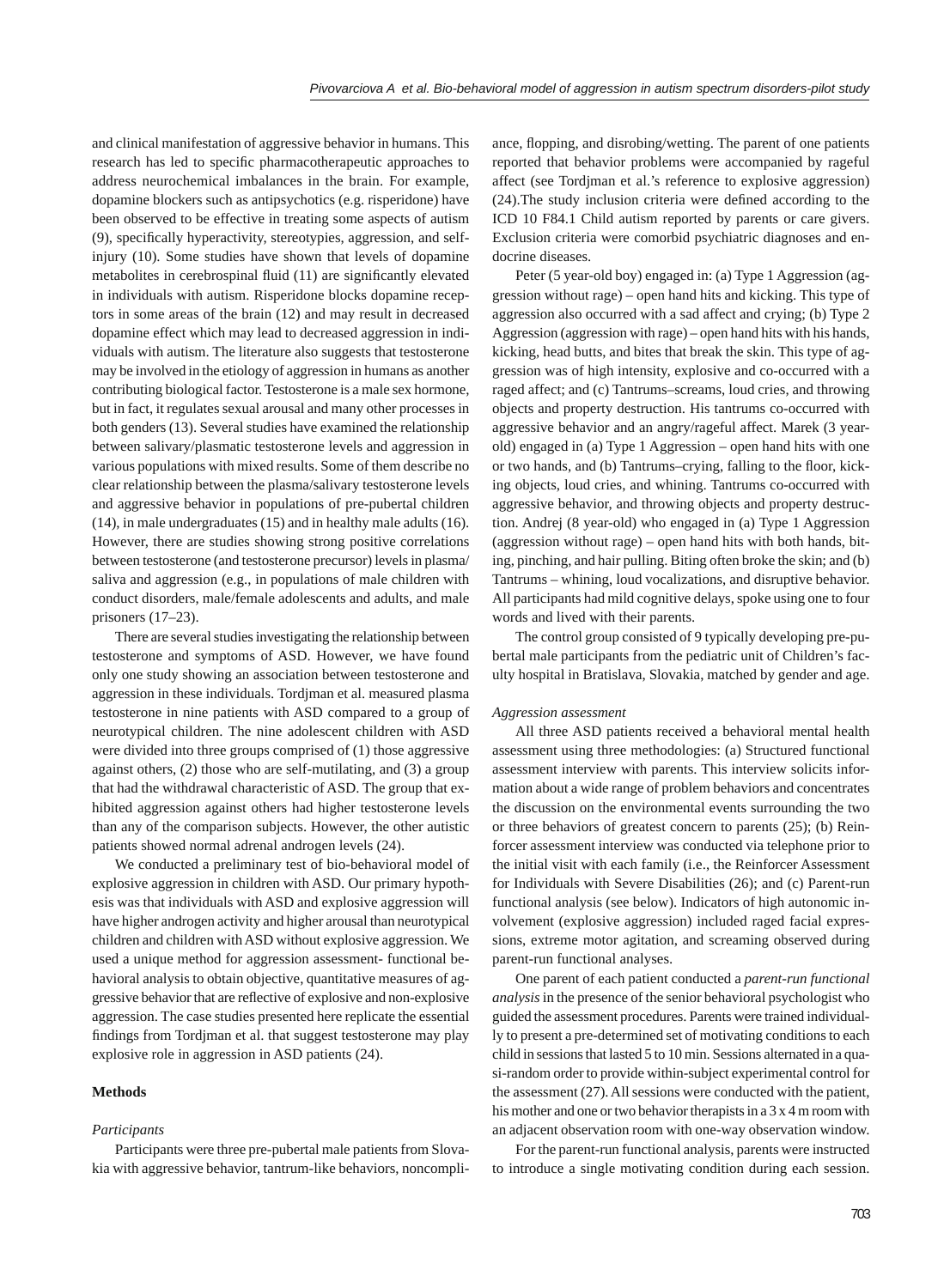and clinical manifestation of aggressive behavior in humans. This research has led to specific pharmacotherapeutic approaches to address neurochemical imbalances in the brain. For example, dopamine blockers such as antipsychotics (e.g. risperidone) have been observed to be effective in treating some aspects of autism (9), specifically hyperactivity, stereotypies, aggression, and selfinjury (10). Some studies have shown that levels of dopamine metabolites in cerebrospinal fluid (11) are significantly elevated in individuals with autism. Risperidone blocks dopamine receptors in some areas of the brain (12) and may result in decreased dopamine effect which may lead to decreased aggression in individuals with autism. The literature also suggests that testosterone may be involved in the etiology of aggression in humans as another contributing biological factor. Testosterone is a male sex hormone, but in fact, it regulates sexual arousal and many other processes in both genders (13). Several studies have examined the relationship between salivary/plasmatic testosterone levels and aggression in various populations with mixed results. Some of them describe no clear relationship between the plasma/salivary testosterone levels and aggressive behavior in populations of pre-pubertal children (14), in male undergraduates (15) and in healthy male adults (16). However, there are studies showing strong positive correlations between testosterone (and testosterone precursor) levels in plasma/ saliva and aggression (e.g., in populations of male children with conduct disorders, male/female adolescents and adults, and male prisoners (17–23).

There are several studies investigating the relationship between testosterone and symptoms of ASD. However, we have found only one study showing an association between testosterone and aggression in these individuals. Tordjman et al. measured plasma testosterone in nine patients with ASD compared to a group of neurotypical children. The nine adolescent children with ASD were divided into three groups comprised of (1) those aggressive against others, (2) those who are self-mutilating, and (3) a group that had the withdrawal characteristic of ASD. The group that exhibited aggression against others had higher testosterone levels than any of the comparison subjects. However, the other autistic patients showed normal adrenal androgen levels (24).

We conducted a preliminary test of bio-behavioral model of explosive aggression in children with ASD. Our primary hypothesis was that individuals with ASD and explosive aggression will have higher androgen activity and higher arousal than neurotypical children and children with ASD without explosive aggression. We used a unique method for aggression assessment- functional behavioral analysis to obtain objective, quantitative measures of aggressive behavior that are reflective of explosive and non-explosive aggression. The case studies presented here replicate the essential findings from Tordjman et al. that suggest testosterone may play explosive role in aggression in ASD patients (24).

#### **Methods**

#### *Participants*

Participants were three pre-pubertal male patients from Slovakia with aggressive behavior, tantrum-like behaviors, noncompliance, flopping, and disrobing/wetting. The parent of one patients reported that behavior problems were accompanied by rageful affect (see Tordjman et al.'s reference to explosive aggression)  $(24)$ . The study inclusion criteria were defined according to the ICD 10 F84.1 Child autism reported by parents or care givers. Exclusion criteria were comorbid psychiatric diagnoses and endocrine diseases.

Peter (5 year-old boy) engaged in: (a) Type 1 Aggression (aggression without rage) – open hand hits and kicking. This type of aggression also occurred with a sad affect and crying; (b) Type 2 Aggression (aggression with rage) – open hand hits with his hands, kicking, head butts, and bites that break the skin. This type of aggression was of high intensity, explosive and co-occurred with a raged affect; and (c) Tantrums–screams, loud cries, and throwing objects and property destruction. His tantrums co-occurred with aggressive behavior and an angry/rageful affect. Marek (3 yearold) engaged in (a) Type 1 Aggression – open hand hits with one or two hands, and (b) Tantrums–crying, falling to the floor, kicking objects, loud cries, and whining. Tantrums co-occurred with aggressive behavior, and throwing objects and property destruction. Andrej (8 year-old) who engaged in (a) Type 1 Aggression (aggression without rage) – open hand hits with both hands, biting, pinching, and hair pulling. Biting often broke the skin; and (b) Tantrums – whining, loud vocalizations, and disruptive behavior. All participants had mild cognitive delays, spoke using one to four words and lived with their parents.

The control group consisted of 9 typically developing pre-pubertal male participants from the pediatric unit of Children's faculty hospital in Bratislava, Slovakia, matched by gender and age.

#### *Aggression assessment*

All three ASD patients received a behavioral mental health assessment using three methodologies: (a) Structured functional assessment interview with parents. This interview solicits information about a wide range of problem behaviors and concentrates the discussion on the environmental events surrounding the two or three behaviors of greatest concern to parents (25); (b) Reinforcer assessment interview was conducted via telephone prior to the initial visit with each family (i.e., the Reinforcer Assessment for Individuals with Severe Disabilities (26); and (c) Parent-run functional analysis (see below). Indicators of high autonomic involvement (explosive aggression) included raged facial expressions, extreme motor agitation, and screaming observed during parent-run functional analyses.

One parent of each patient conducted a *parent-run functional analysis* in the presence of the senior behavioral psychologist who guided the assessment procedures. Parents were trained individually to present a pre-determined set of motivating conditions to each child in sessions that lasted 5 to 10 min. Sessions alternated in a quasi-random order to provide within-subject experimental control for the assessment (27). All sessions were conducted with the patient, his mother and one or two behavior therapists in a 3 x 4 m room with an adjacent observation room with one-way observation window.

For the parent-run functional analysis, parents were instructed to introduce a single motivating condition during each session.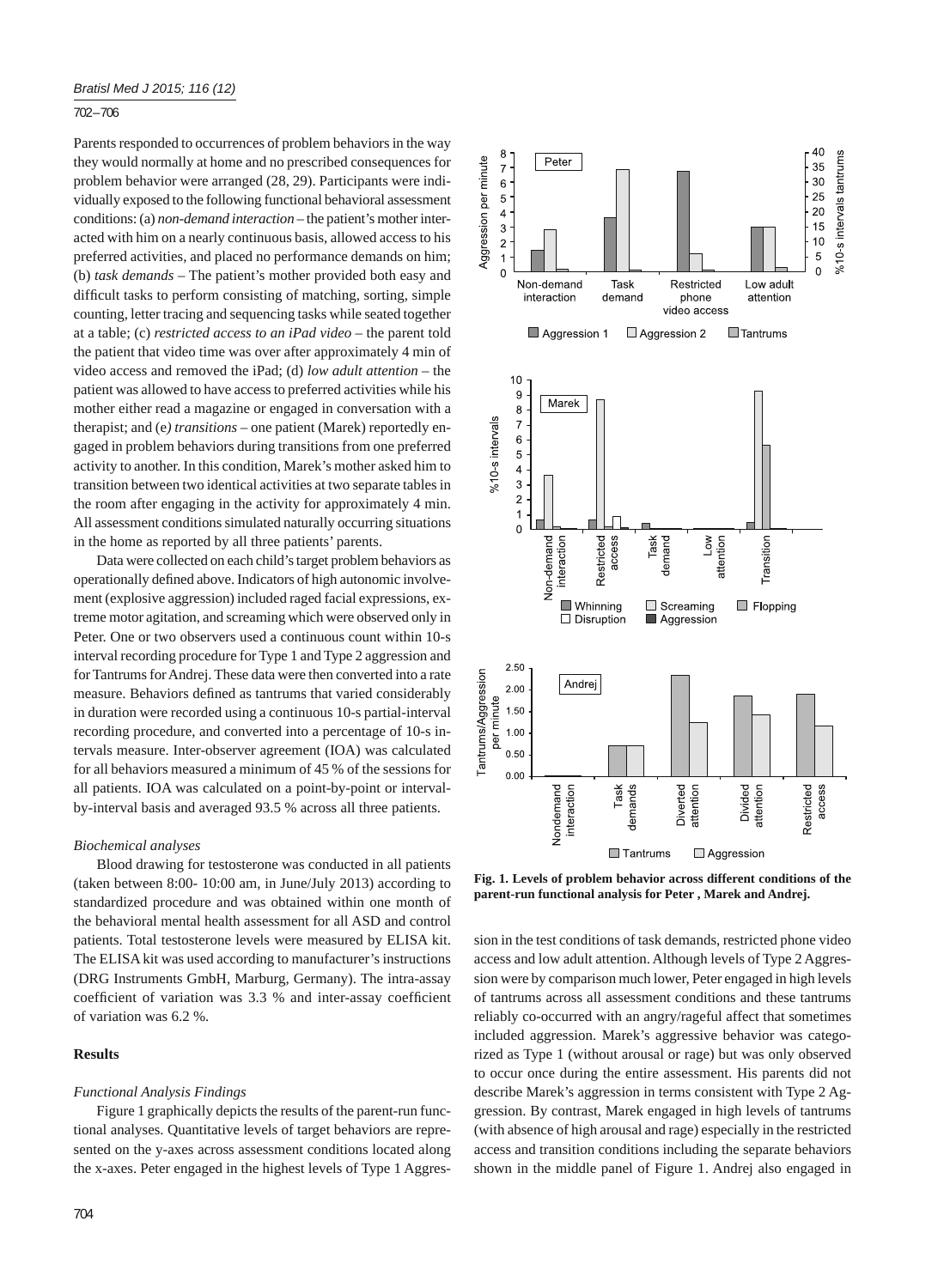## 702 – 706

Parents responded to occurrences of problem behaviors in the way they would normally at home and no prescribed consequences for problem behavior were arranged (28, 29). Participants were individually exposed to the following functional behavioral assessment conditions: (a) *non-demand interaction* – the patient's mother interacted with him on a nearly continuous basis, allowed access to his preferred activities, and placed no performance demands on him; (b) *task demands* – The patient's mother provided both easy and difficult tasks to perform consisting of matching, sorting, simple counting, letter tracing and sequencing tasks while seated together at a table; (c) *restricted access to an iPad video* – the parent told the patient that video time was over after approximately 4 min of video access and removed the iPad; (d) *low adult attention* – the patient was allowed to have access to preferred activities while his mother either read a magazine or engaged in conversation with a therapist; and (e*) transitions* – one patient (Marek) reportedly engaged in problem behaviors during transitions from one preferred activity to another. In this condition, Marek's mother asked him to transition between two identical activities at two separate tables in the room after engaging in the activity for approximately 4 min. All assessment conditions simulated naturally occurring situations in the home as reported by all three patients' parents.

Data were collected on each child's target problem behaviors as operationally defined above. Indicators of high autonomic involvement (explosive aggression) included raged facial expressions, extreme motor agitation, and screaming which were observed only in Peter. One or two observers used a continuous count within 10-s interval recording procedure for Type 1 and Type 2 aggression and for Tantrums for Andrej. These data were then converted into a rate measure. Behaviors defined as tantrums that varied considerably in duration were recorded using a continuous 10-s partial-interval recording procedure, and converted into a percentage of 10-s intervals measure. Inter-observer agreement (IOA) was calculated for all behaviors measured a minimum of 45 % of the sessions for all patients. IOA was calculated on a point-by-point or intervalby-interval basis and averaged 93.5 % across all three patients.

#### *Biochemical analyses*

Blood drawing for testosterone was conducted in all patients (taken between 8:00- 10:00 am, in June/July 2013) according to standardized procedure and was obtained within one month of the behavioral mental health assessment for all ASD and control patients. Total testosterone levels were measured by ELISA kit. The ELISA kit was used according to manufacturer's instructions (DRG Instruments GmbH, Marburg, Germany). The intra-assay coefficient of variation was 3.3 % and inter-assay coefficient of variation was 6.2 %.

## **Results**

#### *Functional Analysis Findings*

Figure 1 graphically depicts the results of the parent-run functional analyses. Quantitative levels of target behaviors are represented on the y-axes across assessment conditions located along the x-axes. Peter engaged in the highest levels of Type 1 Aggres-



**Fig. 1. Levels of problem behavior across different conditions of the parent-run functional analysis for Peter , Marek and Andrej.**

sion in the test conditions of task demands, restricted phone video access and low adult attention. Although levels of Type 2 Aggression were by comparison much lower, Peter engaged in high levels of tantrums across all assessment conditions and these tantrums reliably co-occurred with an angry/rageful affect that sometimes included aggression. Marek's aggressive behavior was categorized as Type 1 (without arousal or rage) but was only observed to occur once during the entire assessment. His parents did not describe Marek's aggression in terms consistent with Type 2 Aggression. By contrast, Marek engaged in high levels of tantrums (with absence of high arousal and rage) especially in the restricted access and transition conditions including the separate behaviors shown in the middle panel of Figure 1. Andrej also engaged in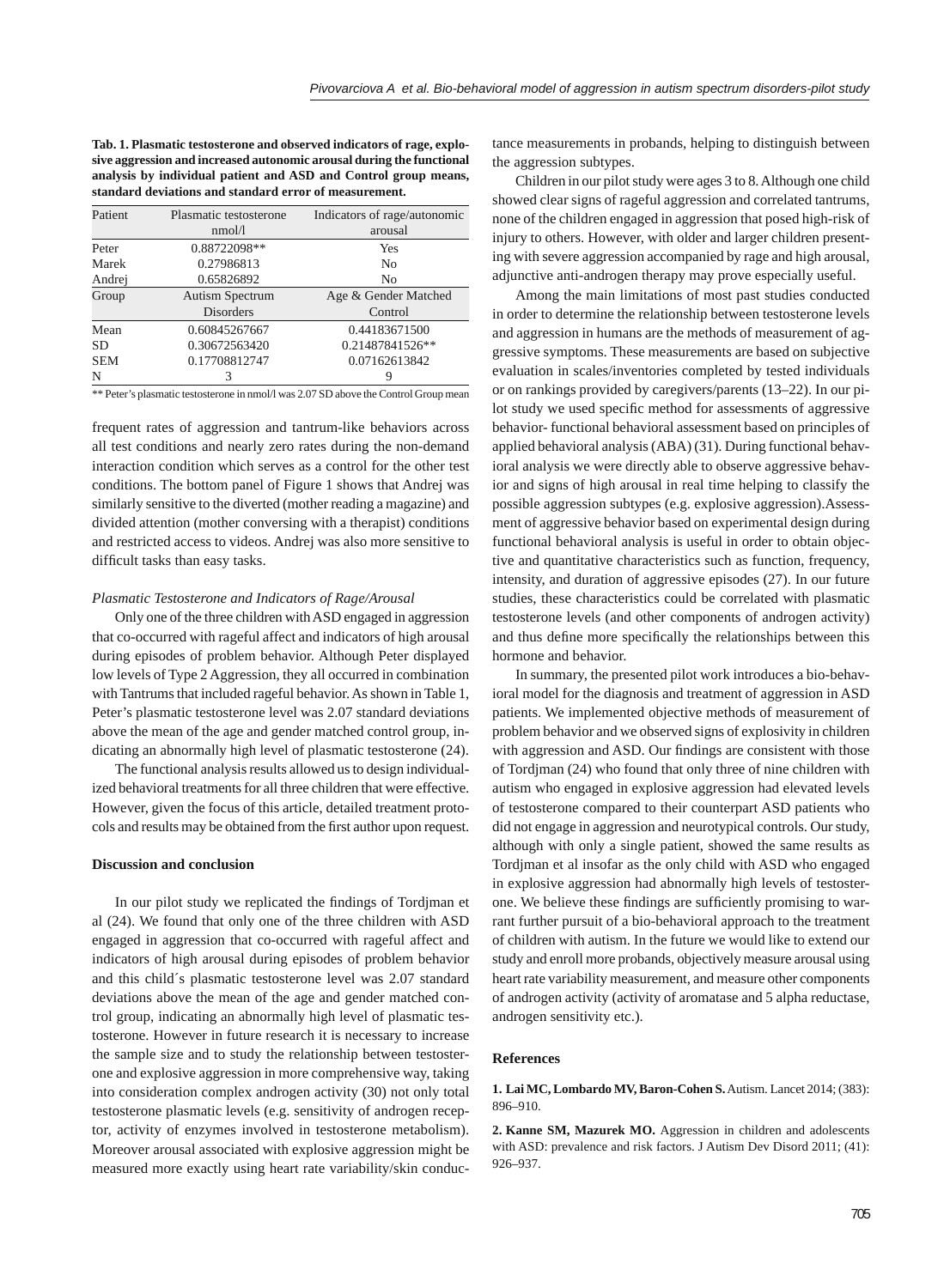**Tab. 1. Plasmatic testosterone and observed indicators of rage, explosive aggression and increased autonomic arousal during the functional analysis by individual patient and ASD and Control group means, standard deviations and standard error of measurement.**

| Patient    | Plasmatic testosterone | Indicators of rage/autonomic |
|------------|------------------------|------------------------------|
|            | nmol/1                 | arousal                      |
| Peter      | 0.88722098**           | Yes                          |
| Marek      | 0.27986813             | N <sub>0</sub>               |
| Andrej     | 0.65826892             | N <sub>0</sub>               |
| Group      | <b>Autism Spectrum</b> | Age & Gender Matched         |
|            | <b>Disorders</b>       | Control                      |
| Mean       | 0.60845267667          | 0.44183671500                |
| <b>SD</b>  | 0.30672563420          | 0.21487841526**              |
| <b>SEM</b> | 0.17708812747          | 0.07162613842                |
| N          |                        |                              |

\*\* Peter's plasmatic testosterone in nmol/l was 2.07 SD above the Control Group mean

frequent rates of aggression and tantrum-like behaviors across all test conditions and nearly zero rates during the non-demand interaction condition which serves as a control for the other test conditions. The bottom panel of Figure 1 shows that Andrej was similarly sensitive to the diverted (mother reading a magazine) and divided attention (mother conversing with a therapist) conditions and restricted access to videos. Andrej was also more sensitive to difficult tasks than easy tasks.

#### *Plasmatic Testosterone and Indicators of Rage/Arousal*

Only one of the three children with ASD engaged in aggression that co-occurred with rageful affect and indicators of high arousal during episodes of problem behavior. Although Peter displayed low levels of Type 2 Aggression, they all occurred in combination with Tantrums that included rageful behavior. As shown in Table 1, Peter's plasmatic testosterone level was 2.07 standard deviations above the mean of the age and gender matched control group, indicating an abnormally high level of plasmatic testosterone (24).

The functional analysis results allowed us to design individualized behavioral treatments for all three children that were effective. However, given the focus of this article, detailed treatment protocols and results may be obtained from the first author upon request.

### **Discussion and conclusion**

In our pilot study we replicated the findings of Tordjman et al (24). We found that only one of the three children with ASD engaged in aggression that co-occurred with rageful affect and indicators of high arousal during episodes of problem behavior and this child´s plasmatic testosterone level was 2.07 standard deviations above the mean of the age and gender matched control group, indicating an abnormally high level of plasmatic testosterone. However in future research it is necessary to increase the sample size and to study the relationship between testosterone and explosive aggression in more comprehensive way, taking into consideration complex androgen activity (30) not only total testosterone plasmatic levels (e.g. sensitivity of androgen receptor, activity of enzymes involved in testosterone metabolism). Moreover arousal associated with explosive aggression might be measured more exactly using heart rate variability/skin conduc-

tance measurements in probands, helping to distinguish between the aggression subtypes.

Children in our pilot study were ages 3 to 8. Although one child showed clear signs of rageful aggression and correlated tantrums, none of the children engaged in aggression that posed high-risk of injury to others. However, with older and larger children presenting with severe aggression accompanied by rage and high arousal, adjunctive anti-androgen therapy may prove especially useful.

Among the main limitations of most past studies conducted in order to determine the relationship between testosterone levels and aggression in humans are the methods of measurement of aggressive symptoms. These measurements are based on subjective evaluation in scales/inventories completed by tested individuals or on rankings provided by caregivers/parents (13–22). In our pilot study we used specific method for assessments of aggressive behavior- functional behavioral assessment based on principles of applied behavioral analysis (ABA) (31). During functional behavioral analysis we were directly able to observe aggressive behavior and signs of high arousal in real time helping to classify the possible aggression subtypes (e.g. explosive aggression).Assessment of aggressive behavior based on experimental design during functional behavioral analysis is useful in order to obtain objective and quantitative characteristics such as function, frequency, intensity, and duration of aggressive episodes (27). In our future studies, these characteristics could be correlated with plasmatic testosterone levels (and other components of androgen activity) and thus define more specifically the relationships between this hormone and behavior.

In summary, the presented pilot work introduces a bio-behavioral model for the diagnosis and treatment of aggression in ASD patients. We implemented objective methods of measurement of problem behavior and we observed signs of explosivity in children with aggression and ASD. Our findings are consistent with those of Tordjman (24) who found that only three of nine children with autism who engaged in explosive aggression had elevated levels of testosterone compared to their counterpart ASD patients who did not engage in aggression and neurotypical controls. Our study, although with only a single patient, showed the same results as Tordjman et al insofar as the only child with ASD who engaged in explosive aggression had abnormally high levels of testosterone. We believe these findings are sufficiently promising to warrant further pursuit of a bio-behavioral approach to the treatment of children with autism. In the future we would like to extend our study and enroll more probands, objectively measure arousal using heart rate variability measurement, and measure other components of androgen activity (activity of aromatase and 5 alpha reductase, androgen sensitivity etc.).

#### **References**

**1. Lai MC, Lombardo MV, Baron-Cohen S.** Autism. Lancet 2014; (383): 896–910.

**2. Kanne SM, Mazurek MO.** Aggression in children and adolescents with ASD: prevalence and risk factors. J Autism Dev Disord 2011; (41): 926–937.